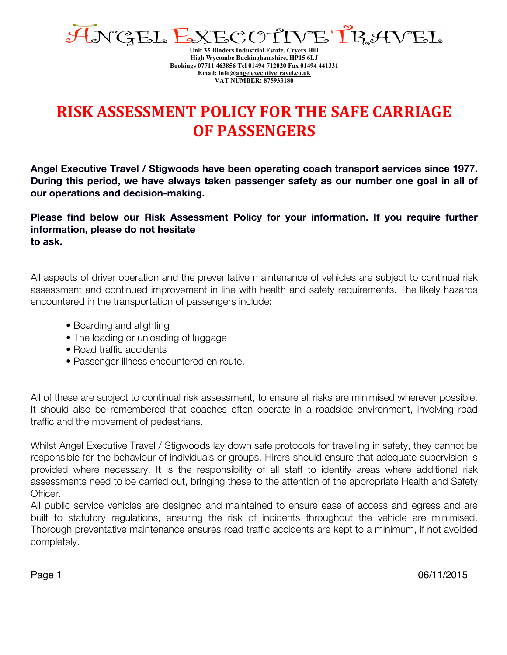

**Unit 35 Binders Industrial Estate, Cryers Hill High Wycombe Buckinghamshire, HP15 6LJ Bookings 07711 463856 Tel 01494 712020 Fax 01494 441331 Email: info@angelexecutivetravel.co.uk VAT NUMBER: 875933180**

## **RISK ASSESSMENT POLICY FOR THE SAFE CARRIAGE OF PASSENGERS**

**Angel Executive Travel / Stigwoods have been operating coach transport services since 1977. During this period, we have always taken passenger safety as our number one goal in all of our operations and decision-making.**

**Please find below our Risk Assessment Policy for your information. If you require further information, please do not hesitate to ask.**

All aspects of driver operation and the preventative maintenance of vehicles are subject to continual risk assessment and continued improvement in line with health and safety requirements. The likely hazards encountered in the transportation of passengers include:

- Boarding and alighting
- The loading or unloading of luggage
- Road traffic accidents
- Passenger illness encountered en route.

All of these are subject to continual risk assessment, to ensure all risks are minimised wherever possible. It should also be remembered that coaches often operate in a roadside environment, involving road traffic and the movement of pedestrians.

Whilst Angel Executive Travel / Stigwoods lay down safe protocols for travelling in safety, they cannot be responsible for the behaviour of individuals or groups. Hirers should ensure that adequate supervision is provided where necessary. It is the responsibility of all staff to identify areas where additional risk assessments need to be carried out, bringing these to the attention of the appropriate Health and Safety Officer.

All public service vehicles are designed and maintained to ensure ease of access and egress and are built to statutory regulations, ensuring the risk of incidents throughout the vehicle are minimised. Thorough preventative maintenance ensures road traffic accidents are kept to a minimum, if not avoided completely.